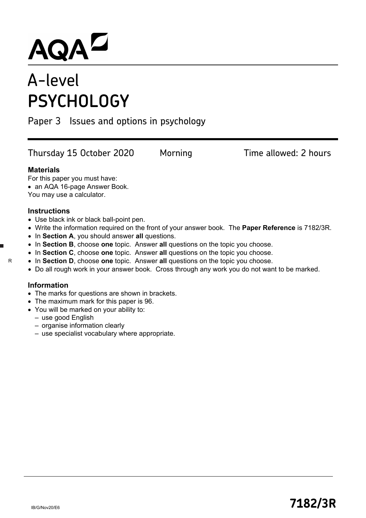# AQA<sup>Z</sup><br>A-level

## **PSYCHOLOGY**

Paper 3 Issues and options in psychology

Thursday 15 October 2020 Morning Time allowed: 2 hours

#### **Materials**

For this paper you must have:

• an AQA 16-page Answer Book.

You may use a calculator.

#### **Instructions**

- Use black ink or black ball-point pen.
- Write the information required on the front of your answer book. The **Paper Reference** is 7182/3R.
- In **Section A**, you should answer **all** questions.
- In **Section B**, choose **one** topic. Answer **all** questions on the topic you choose.
- In **Section C**, choose **one** topic. Answer **all** questions on the topic you choose.
- In **Section D**, choose **one** topic. Answer **all** questions on the topic you choose.
- Do all rough work in your answer book. Cross through any work you do not want to be marked.

#### **Information**

- The marks for questions are shown in brackets.
- The maximum mark for this paper is 96.
- You will be marked on your ability to:
	- use good English
	- organise information clearly
	- use specialist vocabulary where appropriate.

R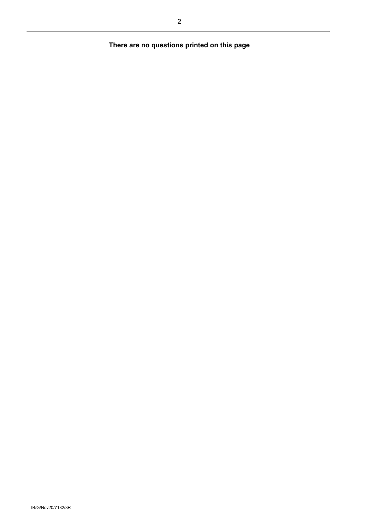#### **There are no questions printed on this page**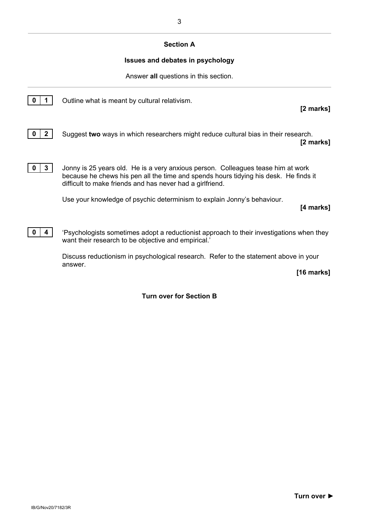#### **Section A**

#### **Issues and debates in psychology**

Answer **all** questions in this section.



**0** | **1** | Outline what is meant by cultural relativism.

**[2 marks]**



**0** | **2** | Suggest **two** ways in which researchers might reduce cultural bias in their research.

**[2 marks]**



**0** | **3** | Jonny is 25 years old. He is a very anxious person. Colleagues tease him at work because he chews his pen all the time and spends hours tidying his desk. He finds it difficult to make friends and has never had a girlfriend.

Use your knowledge of psychic determinism to explain Jonny's behaviour.

**[4 marks]**

**0 4 4** 'Psychologists sometimes adopt a reductionist approach to their investigations when they want their research to be objective and empirical.'

> Discuss reductionism in psychological research. Refer to the statement above in your answer.

**[16 marks]**

**Turn over for Section B**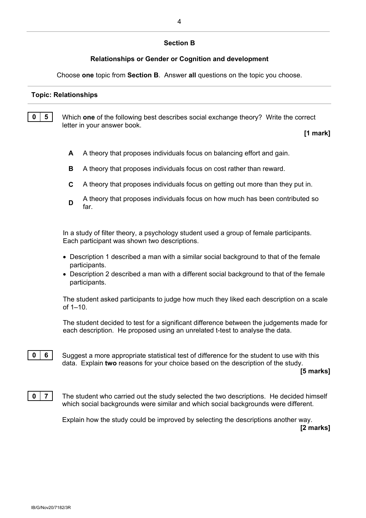#### **Section B**

#### **Relationships or Gender or Cognition and development**

Choose **one** topic from **Section B**. Answer **all** questions on the topic you choose.

#### **Topic: Relationships**

**0 5** Which **one** of the following best describes social exchange theory? Write the correct letter in your answer book.

**[1 mark]**

- **A** A theory that proposes individuals focus on balancing effort and gain.
- **B** A theory that proposes individuals focus on cost rather than reward.
- **C** A theory that proposes individuals focus on getting out more than they put in.
- **D** A theory that proposes individuals focus on how much has been contributed so far.

In a study of filter theory, a psychology student used a group of female participants. Each participant was shown two descriptions.

- Description 1 described a man with a similar social background to that of the female participants.
- Description 2 described a man with a different social background to that of the female participants.

The student asked participants to judge how much they liked each description on a scale of 1–10.

The student decided to test for a significant difference between the judgements made for each description. He proposed using an unrelated t-test to analyse the data.

**0 6** Suggest a more appropriate statistical test of difference for the student to use with this data. Explain **two** reasons for your choice based on the description of the study.

**[5 marks]**



**0** | **7** | The student who carried out the study selected the two descriptions. He decided himself which social backgrounds were similar and which social backgrounds were different.

> Explain how the study could be improved by selecting the descriptions another way. **[2 marks]**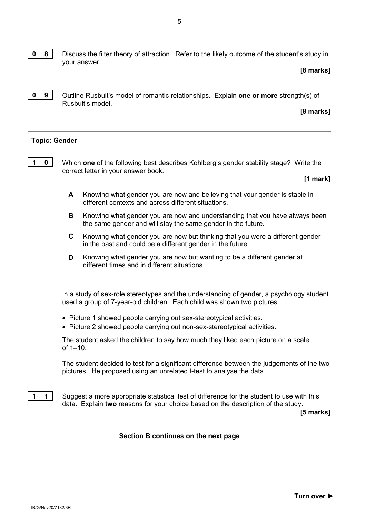

**0** | **8** | Discuss the filter theory of attraction. Refer to the likely outcome of the student's study in your answer.

#### **[8 marks]**



**0** | **9** | Outline Rusbult's model of romantic relationships. Explain **one or more** strength(s) of Rusbult's model.

#### **[8 marks]**

#### **Topic: Gender**

**1 0** Which **one** of the following best describes Kohlberg's gender stability stage? Write the correct letter in your answer book.

**[1 mark]**

- **A** Knowing what gender you are now and believing that your gender is stable in different contexts and across different situations.
- **B** Knowing what gender you are now and understanding that you have always been the same gender and will stay the same gender in the future.
- **C** Knowing what gender you are now but thinking that you were a different gender in the past and could be a different gender in the future.
- **D** Knowing what gender you are now but wanting to be a different gender at different times and in different situations.

In a study of sex-role stereotypes and the understanding of gender, a psychology student used a group of 7-year-old children. Each child was shown two pictures.

- Picture 1 showed people carrying out sex-stereotypical activities.
- Picture 2 showed people carrying out non-sex-stereotypical activities.

The student asked the children to say how much they liked each picture on a scale of 1–10.

The student decided to test for a significant difference between the judgements of the two pictures. He proposed using an unrelated t-test to analyse the data.

**1 1** Suggest a more appropriate statistical test of difference for the student to use with this data. Explain **two** reasons for your choice based on the description of the study.

**[5 marks]**

#### **Section B continues on the next page**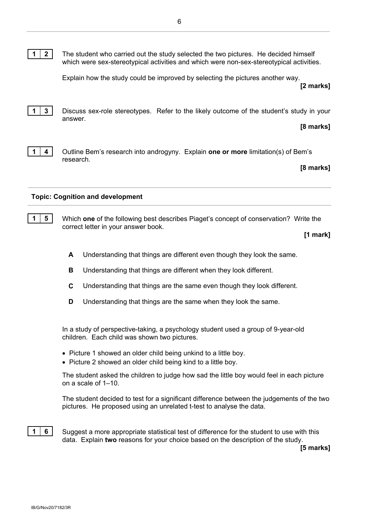**1 2** The student who carried out the study selected the two pictures. He decided himself which were sex-stereotypical activities and which were non-sex-stereotypical activities.

Explain how the study could be improved by selecting the pictures another way.

**[2 marks]**



**1 3** Discuss sex-role stereotypes. Refer to the likely outcome of the student's study in your answer.

#### **[8 marks]**



**1 4** Outline Bem's research into androgyny. Explain **one or more** limitation(s) of Bem's research.

#### **[8 marks]**

#### **Topic: Cognition and development**

**1 5** Which **one** of the following best describes Piaget's concept of conservation? Write the correct letter in your answer book.

**[1 mark]**

- **A** Understanding that things are different even though they look the same.
- **B** Understanding that things are different when they look different.
- **C** Understanding that things are the same even though they look different.
- **D** Understanding that things are the same when they look the same.

In a study of perspective-taking, a psychology student used a group of 9-year-old children. Each child was shown two pictures.

- Picture 1 showed an older child being unkind to a little boy.
- Picture 2 showed an older child being kind to a little boy.

The student asked the children to judge how sad the little boy would feel in each picture on a scale of 1–10.

The student decided to test for a significant difference between the judgements of the two pictures. He proposed using an unrelated t-test to analyse the data.



**1 6** Suggest a more appropriate statistical test of difference for the student to use with this data. Explain **two** reasons for your choice based on the description of the study.

**[5 marks]**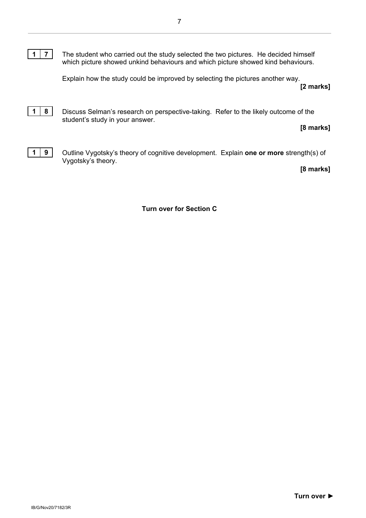

**1 7** The student who carried out the study selected the two pictures. He decided himself which picture showed unkind behaviours and which picture showed kind behaviours.

Explain how the study could be improved by selecting the pictures another way.

**[2 marks]**



**1 8** Discuss Selman's research on perspective-taking. Refer to the likely outcome of the student's study in your answer.

#### **[8 marks]**



**1 9** Outline Vygotsky's theory of cognitive development. Explain **one or more** strength(s) of Vygotsky's theory.

**[8 marks]**

**Turn over for Section C**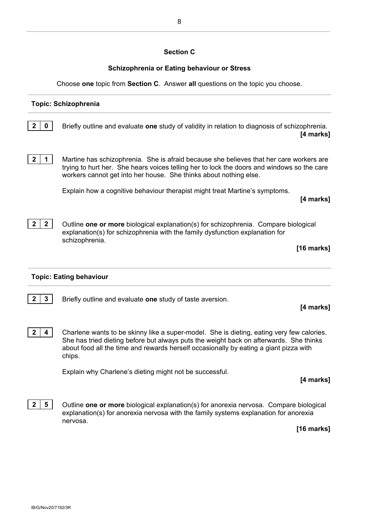#### **Section C**

#### **Schizophrenia or Eating behaviour or Stress**

Choose **one** topic from **Section C**. Answer **all** questions on the topic you choose.

### **Topic: Schizophrenia 2 0** Briefly outline and evaluate **one** study of validity in relation to diagnosis of schizophrenia. **[4 marks] 2 1** Martine has schizophrenia. She is afraid because she believes that her care workers are trying to hurt her. She hears voices telling her to lock the doors and windows so the care workers cannot get into her house. She thinks about nothing else. Explain how a cognitive behaviour therapist might treat Martine's symptoms. **[4 marks] 2 2 2** Outline **one or more** biological explanation(s) for schizophrenia. Compare biological explanation(s) for schizophrenia with the family dysfunction explanation for schizophrenia. **[16 marks] Topic: Eating behaviour 2 3** Briefly outline and evaluate **one** study of taste aversion. **[4 marks] 2 4** Charlene wants to be skinny like a super-model. She is dieting, eating very few calories. She has tried dieting before but always puts the weight back on afterwards. She thinks about food all the time and rewards herself occasionally by eating a giant pizza with chips.

Explain why Charlene's dieting might not be successful.

**[4 marks]**

**2 5** Outline **one or more** biological explanation(s) for anorexia nervosa. Compare biological explanation(s) for anorexia nervosa with the family systems explanation for anorexia nervosa.

**[16 marks]**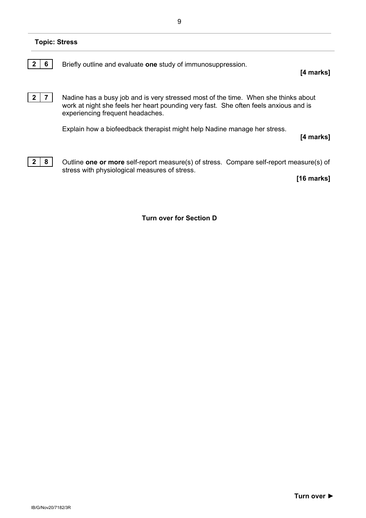| <b>Topic: Stress</b> |                                                                                                                                                                                                                |
|----------------------|----------------------------------------------------------------------------------------------------------------------------------------------------------------------------------------------------------------|
| 6                    | Briefly outline and evaluate one study of immunosuppression.<br>[4 marks]                                                                                                                                      |
|                      | Nadine has a busy job and is very stressed most of the time. When she thinks about<br>work at night she feels her heart pounding very fast. She often feels anxious and is<br>experiencing frequent headaches. |
|                      | Explain how a biofeedback therapist might help Nadine manage her stress.<br>[4 marks]                                                                                                                          |
| 8                    | Outline one or more self-report measure(s) of stress. Compare self-report measure(s) of<br>stress with physiological measures of stress.                                                                       |

**[16 marks]**

**Turn over for Section D**

IB/G/Nov20/7182/3R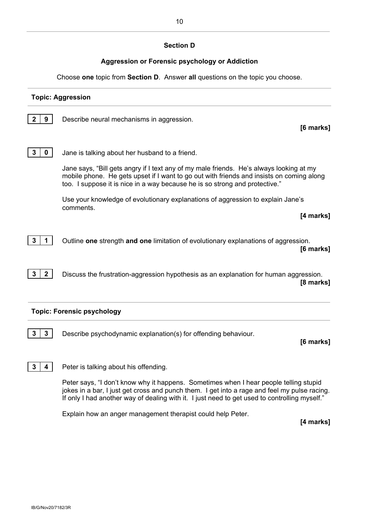#### **Section D**

#### **Aggression or Forensic psychology or Addiction**

Choose **one** topic from **Section D**. Answer **all** questions on the topic you choose.

#### **Topic: Aggression**

**2 9** Describe neural mechanisms in aggression. **[6 marks] 3 0** Jane is talking about her husband to a friend. Jane says, "Bill gets angry if I text any of my male friends. He's always looking at my mobile phone. He gets upset if I want to go out with friends and insists on coming along too. I suppose it is nice in a way because he is so strong and protective." Use your knowledge of evolutionary explanations of aggression to explain Jane's comments. **[4 marks] 3 1** Outline **one** strength **and one** limitation of evolutionary explanations of aggression. **[6 marks] 3 2** Discuss the frustration-aggression hypothesis as an explanation for human aggression. **[8 marks]**

#### **Topic: Forensic psychology**

**3 3** Describe psychodynamic explanation(s) for offending behaviour.

**[6 marks]**

**3 4** Peter is talking about his offending.

Peter says, "I don't know why it happens. Sometimes when I hear people telling stupid jokes in a bar, I just get cross and punch them. I get into a rage and feel my pulse racing. If only I had another way of dealing with it. I just need to get used to controlling myself."

Explain how an anger management therapist could help Peter.

**[4 marks]**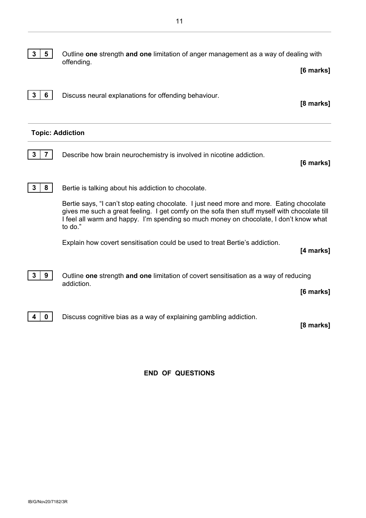**3 5** Outline **one** strength **and one** limitation of anger management as a way of dealing with offending. **[6 marks] 3 6** Discuss neural explanations for offending behaviour. **[8 marks] Topic: Addiction 3 7** Describe how brain neurochemistry is involved in nicotine addiction. **[6 marks] 3** | **8** | Bertie is talking about his addiction to chocolate. Bertie says, "I can't stop eating chocolate. I just need more and more. Eating chocolate gives me such a great feeling. I get comfy on the sofa then stuff myself with chocolate till I feel all warm and happy. I'm spending so much money on chocolate, I don't know what to do." Explain how covert sensitisation could be used to treat Bertie's addiction. **[4 marks] 3 9** Outline **one** strength **and one** limitation of covert sensitisation as a way of reducing addiction. **[6 marks] 4 0** Discuss cognitive bias as a way of explaining gambling addiction. **[8 marks]**

**END OF QUESTIONS**